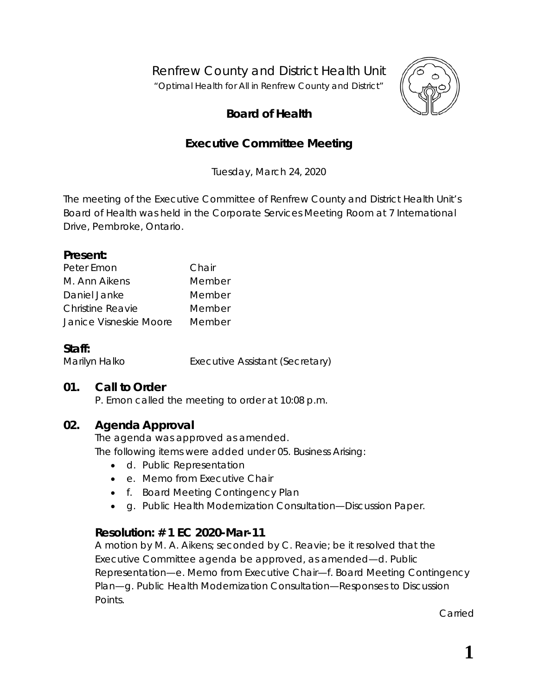Renfrew County and District Health Unit

*"Optimal Health for All in Renfrew County and District"*



# **Board of Health**

# **Executive Committee Meeting**

Tuesday, March 24, 2020

The meeting of the Executive Committee of Renfrew County and District Health Unit's Board of Health was held in the Corporate Services Meeting Room at 7 International Drive, Pembroke, Ontario.

#### **Present:**

| Peter Emon             | Chair  |
|------------------------|--------|
| M. Ann Aikens          | Member |
| Daniel Janke           | Member |
| Christine Reavie       | Member |
| Janice Visneskie Moore | Member |

### **Staff:**

Marilyn Halko **Executive Assistant (Secretary)** 

### **01. Call to Order**

P. Emon called the meeting to order at 10:08 p.m.

## **02. Agenda Approval**

The agenda was approved as amended. The following items were added under 05. Business Arising:

- d. Public Representation
- e. Memo from Executive Chair
- f. Board Meeting Contingency Plan
- g. Public Health Modernization Consultation—Discussion Paper.

## **Resolution: # 1 EC 2020-Mar-11**

A motion by M. A. Aikens; seconded by C. Reavie; be it resolved that the Executive Committee agenda be approved, as amended—d. Public Representation—e. Memo from Executive Chair—f. Board Meeting Contingency Plan—g. Public Health Modernization Consultation—Responses to Discussion Points.

Carried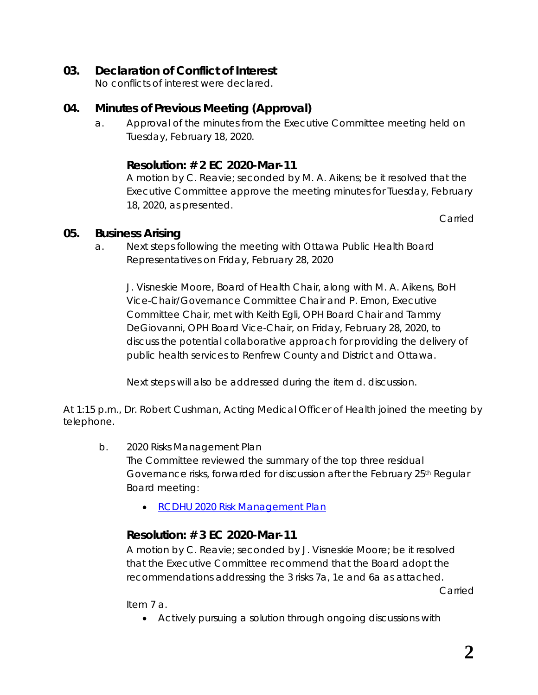# **03. Declaration of Conflict of Interest**

No conflicts of interest were declared.

# **04. Minutes of Previous Meeting (Approval)**

a. Approval of the minutes from the Executive Committee meeting held on Tuesday, February 18, 2020.

# **Resolution: # 2 EC 2020-Mar-11**

A motion by C. Reavie; seconded by M. A. Aikens; be it resolved that the Executive Committee approve the meeting minutes for Tuesday, February 18, 2020, as presented.

Carried

### **05. Business Arising**

a. Next steps following the meeting with Ottawa Public Health Board Representatives on Friday, February 28, 2020

J. Visneskie Moore, Board of Health Chair, along with M. A. Aikens, BoH Vice-Chair/Governance Committee Chair and P. Emon, Executive Committee Chair, met with Keith Egli, OPH Board Chair and Tammy DeGiovanni, OPH Board Vice-Chair, on Friday, February 28, 2020, to discuss the potential collaborative approach for providing the delivery of public health services to Renfrew County and District and Ottawa.

Next steps will also be addressed during the item d. discussion.

At 1:15 p.m., Dr. Robert Cushman, Acting Medical Officer of Health joined the meeting by telephone.

- b. 2020 Risks Management Plan The Committee reviewed the summary of the top three residual Governance risks, forwarded for discussion after the February 25<sup>th</sup> Regular Board meeting:
	- RCDHU 2020 Risk [Management Plan](http://portal.rcdhu.com/board/wp-content/uploads/2020/03/2020-Risk-Management-Plan.pdf)

# **Resolution: # 3 EC 2020-Mar-11**

A motion by C. Reavie; seconded by J. Visneskie Moore; be it resolved that the Executive Committee recommend that the Board adopt the recommendations addressing the 3 risks 7a, 1e and 6a as attached.

Carried

Item 7 a.

• Actively pursuing a solution through ongoing discussions with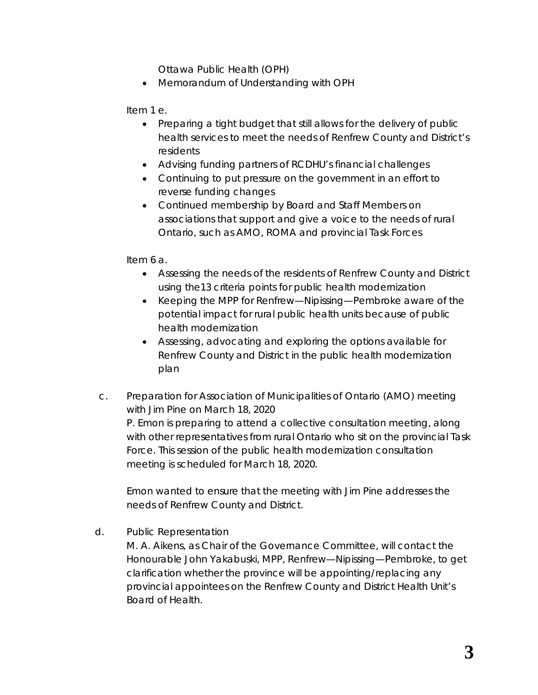Ottawa Public Health (OPH)

• Memorandum of Understanding with OPH

Item 1 e.

- Preparing a tight budget that still allows for the delivery of public health services to meet the needs of Renfrew County and District's residents
- Advising funding partners of RCDHU's financial challenges
- Continuing to put pressure on the government in an effort to reverse funding changes
- Continued membership by Board and Staff Members on associations that support and give a voice to the needs of rural Ontario, such as AMO, ROMA and provincial Task Forces

Item 6 a.

- Assessing the needs of the residents of Renfrew County and District using the13 criteria points for public health modernization
- Keeping the MPP for Renfrew—Nipissing—Pembroke aware of the potential impact for rural public health units because of public health modernization
- Assessing, advocating and exploring the options available for Renfrew County and District in the public health modernization plan
- c. Preparation for Association of Municipalities of Ontario (AMO) meeting with Jim Pine on March 18, 2020 P. Emon is preparing to attend a collective consultation meeting, along with other representatives from rural Ontario who sit on the provincial Task Force. This session of the public health modernization consultation meeting is scheduled for March 18, 2020.

Emon wanted to ensure that the meeting with Jim Pine addresses the needs of Renfrew County and District.

d. Public Representation

M. A. Aikens, as Chair of the Governance Committee, will contact the Honourable John Yakabuski, MPP, Renfrew—Nipissing—Pembroke, to get clarification whether the province will be appointing/replacing any provincial appointees on the Renfrew County and District Health Unit's Board of Health.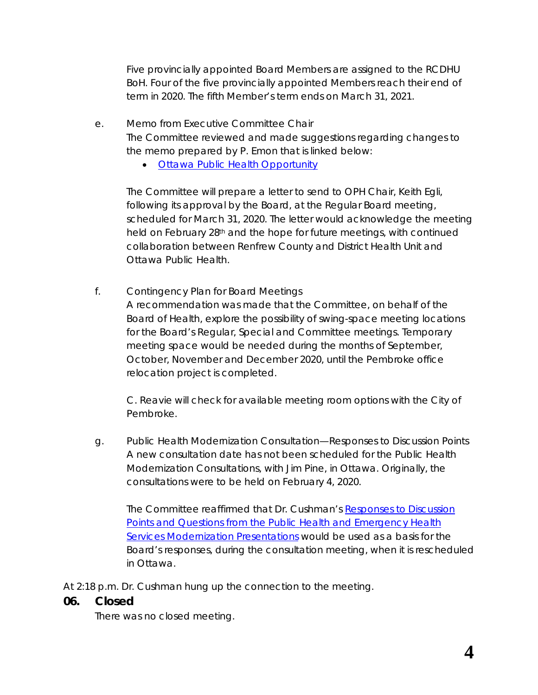Five provincially appointed Board Members are assigned to the RCDHU BoH. Four of the five provincially appointed Members reach their end of term in 2020. The fifth Member's term ends on March 31, 2021.

- e. Memo from Executive Committee Chair The Committee reviewed and made suggestions regarding changes to the memo prepared by P. Emon that is linked below:
	- [Ottawa Public Health Opportunity](http://portal.rcdhu.com/board/wp-content/uploads/2020/03/05.-a.-Memo-OPH-Mar-11-2020-1.pdf)

The Committee will prepare a letter to send to OPH Chair, Keith Egli, following its approval by the Board, at the Regular Board meeting, scheduled for March 31, 2020. The letter would acknowledge the meeting held on February 28<sup>th</sup> and the hope for future meetings, with continued collaboration between Renfrew County and District Health Unit and Ottawa Public Health.

f. Contingency Plan for Board Meetings

> A recommendation was made that the Committee, on behalf of the Board of Health, explore the possibility of swing-space meeting locations for the Board's Regular, Special and Committee meetings. Temporary meeting space would be needed during the months of September, October, November and December 2020, until the Pembroke office relocation project is completed.

C. Reavie will check for available meeting room options with the City of Pembroke.

g. Public Health Modernization Consultation—Responses to Discussion Points A new consultation date has not been scheduled for the Public Health Modernization Consultations, with Jim Pine, in Ottawa. Originally, the consultations were to be held on February 4, 2020.

The Committee reaffirmed that Dr. Cushman's *[Responses to Discussion](http://portal.rcdhu.com/board/wp-content/uploads/2020/01/RCDHU-Responses-to-Discussion-Points-and-Questions-from-the-Public-Health-and-Emergency-Health-Services-Modernization-Presentations-2020-Jan-23.pdf) [Points and Questions from the Public Health and Emergency Health](http://portal.rcdhu.com/board/wp-content/uploads/2020/01/RCDHU-Responses-to-Discussion-Points-and-Questions-from-the-Public-Health-and-Emergency-Health-Services-Modernization-Presentations-2020-Jan-23.pdf) [Services Modernization Presentations](http://portal.rcdhu.com/board/wp-content/uploads/2020/01/RCDHU-Responses-to-Discussion-Points-and-Questions-from-the-Public-Health-and-Emergency-Health-Services-Modernization-Presentations-2020-Jan-23.pdf)* would be used as a basis for the Board's responses, during the consultation meeting, when it is rescheduled in Ottawa.

At 2:18 p.m. Dr. Cushman hung up the connection to the meeting.

## **06. Closed**

There was no closed meeting.